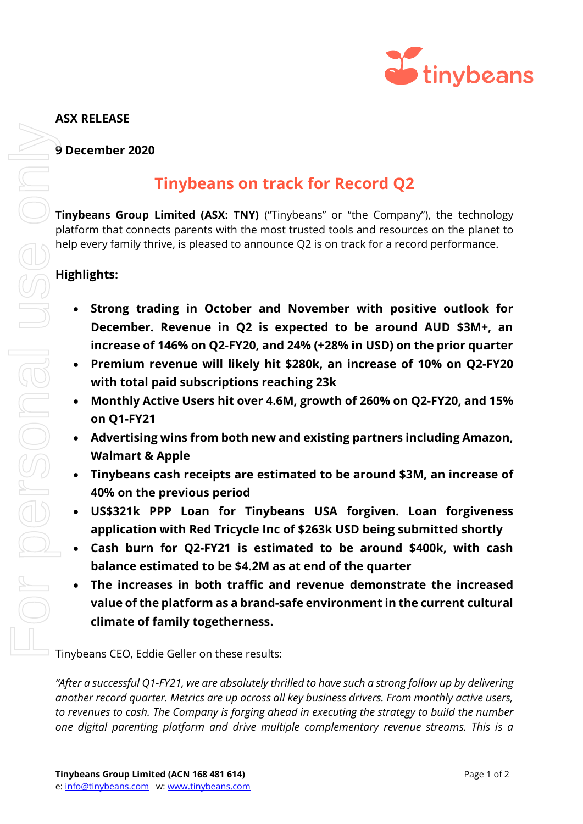

## **ASX RELEASE**

**9 December 2020**

## **Tinybeans on track for Record Q2**

**Tinybeans Group Limited (ASX: TNY)** ("Tinybeans" or "the Company"), the technology platform that connects parents with the most trusted tools and resources on the planet to help every family thrive, is pleased to announce Q2 is on track for a record performance.

## **Highlights:**

- **Strong trading in October and November with positive outlook for December. Revenue in Q2 is expected to be around AUD \$3M+, an increase of 146% on Q2-FY20, and 24% (+28% in USD) on the prior quarter**
- **Premium revenue will likely hit \$280k, an increase of 10% on Q2-FY20 with total paid subscriptions reaching 23k**
- **Monthly Active Users hit over 4.6M, growth of 260% on Q2-FY20, and 15% on Q1-FY21**
- **Advertising wins from both new and existing partners including Amazon, Walmart & Apple**
- **Tinybeans cash receipts are estimated to be around \$3M, an increase of 40% on the previous period**
- **US\$321k PPP Loan for Tinybeans USA forgiven. Loan forgiveness application with Red Tricycle Inc of \$263k USD being submitted shortly**
- **Cash burn for Q2-FY21 is estimated to be around \$400k, with cash balance estimated to be \$4.2M as at end of the quarter**
- **The increases in both traffic and revenue demonstrate the increased value of the platform as a brand-safe environment in the current cultural climate of family togetherness.**

Tinybeans CEO, Eddie Geller on these results:

*"After a successful Q1-FY21, we are absolutely thrilled to have such a strong follow up by delivering another record quarter. Metrics are up across all key business drivers. From monthly active users, to revenues to cash. The Company is forging ahead in executing the strategy to build the number*  **Solution of the streams of the streams** on track for Record Q2<br> **one digital properties** parents with the most trusted tools and resources on the planet to<br>
help every family thrive. Is pleased to amounce Q2 is on frack